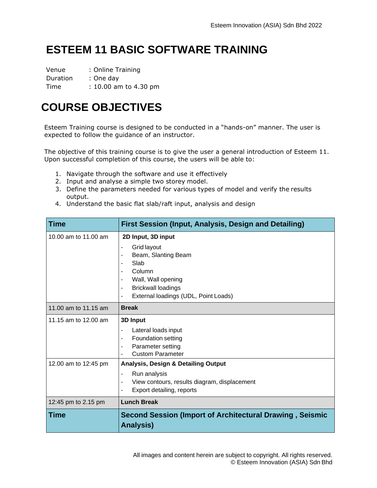# **ESTEEM 11 BASIC SOFTWARE TRAINING**

Venue : Online Training Duration : One day Time : 10.00 am to 4.30 pm

## **COURSE OBJECTIVES**

Esteem Training course is designed to be conducted in a "hands-on" manner. The user is expected to follow the guidance of an instructor.

The objective of this training course is to give the user a general introduction of Esteem 11. Upon successful completion of this course, the users will be able to:

- 1. Navigate through the software and use it effectively
- 2. Input and analyse a simple two storey model.
- 3. Define the parameters needed for various types of model and verify the results output.
- 4. Understand the basic flat slab/raft input, analysis and design

| <b>Time</b>          | First Session (Input, Analysis, Design and Detailing)                                                                                                                                                                                                           |
|----------------------|-----------------------------------------------------------------------------------------------------------------------------------------------------------------------------------------------------------------------------------------------------------------|
| 10.00 am to 11.00 am | 2D Input, 3D input<br>Grid layout<br>$\blacksquare$<br>Beam, Slanting Beam<br>$\blacksquare$<br>Slab<br>$\overline{a}$<br>Column<br>Wall, Wall opening<br><b>Brickwall loadings</b><br>$\blacksquare$<br>External loadings (UDL, Point Loads)<br>$\blacksquare$ |
| 11.00 am to 11.15 am | <b>Break</b>                                                                                                                                                                                                                                                    |
| 11.15 am to 12.00 am | 3D Input<br>Lateral loads input<br>ä,<br><b>Foundation setting</b><br>Parameter setting<br><b>Custom Parameter</b>                                                                                                                                              |
| 12.00 am to 12:45 pm | <b>Analysis, Design &amp; Detailing Output</b><br>Run analysis<br>$\blacksquare$<br>View contours, results diagram, displacement<br>ä,<br>Export detailing, reports<br>$\blacksquare$                                                                           |
| 12:45 pm to 2.15 pm  | <b>Lunch Break</b>                                                                                                                                                                                                                                              |
| <b>Time</b>          | <b>Second Session (Import of Architectural Drawing, Seismic</b><br><b>Analysis)</b>                                                                                                                                                                             |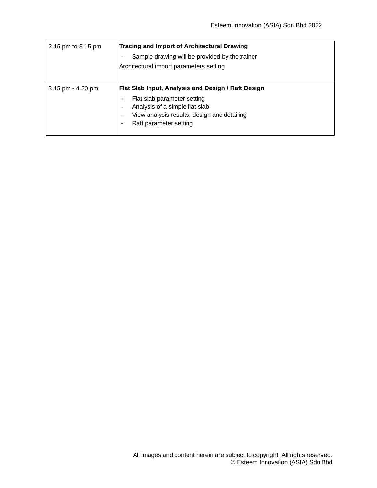| 2.15 pm to 3.15 pm    | <b>Tracing and Import of Architectural Drawing</b>                         |
|-----------------------|----------------------------------------------------------------------------|
|                       | Sample drawing will be provided by the trainer<br>$\overline{\phantom{a}}$ |
|                       | Architectural import parameters setting                                    |
|                       |                                                                            |
| $3.15$ pm - $4.30$ pm | Flat Slab Input, Analysis and Design / Raft Design                         |
|                       | Flat slab parameter setting<br>$\blacksquare$                              |
|                       | Analysis of a simple flat slab<br>$\overline{\phantom{a}}$                 |
|                       | View analysis results, design and detailing<br>$\overline{\phantom{a}}$    |
|                       | Raft parameter setting<br>$\blacksquare$                                   |
|                       |                                                                            |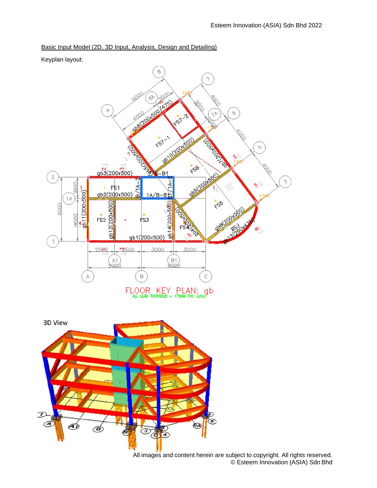#### Basic Input Model (2D, 3D Input, Analysis, Design and Detailing)

Keyplan layout:



All images and content herein are subject to copyright. All rights reserved. © Esteem Innovation (ASIA) Sdn Bhd